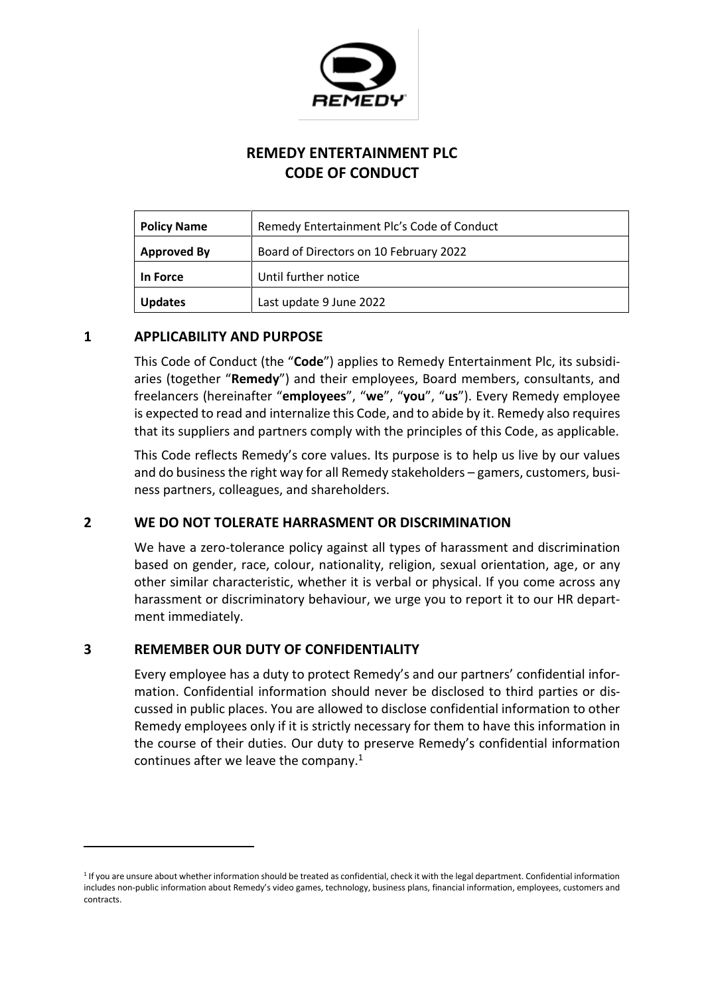

# **REMEDY ENTERTAINMENT PLC CODE OF CONDUCT**

| <b>Policy Name</b> | Remedy Entertainment Plc's Code of Conduct |
|--------------------|--------------------------------------------|
| <b>Approved By</b> | Board of Directors on 10 February 2022     |
| In Force           | Until further notice                       |
| <b>Updates</b>     | Last update 9 June 2022                    |

#### **1 APPLICABILITY AND PURPOSE**

This Code of Conduct (the "**Code**") applies to Remedy Entertainment Plc, its subsidiaries (together "**Remedy**") and their employees, Board members, consultants, and freelancers (hereinafter "**employees**", "**we**", "**you**", "**us**"). Every Remedy employee is expected to read and internalize this Code, and to abide by it. Remedy also requires that its suppliers and partners comply with the principles of this Code, as applicable.

This Code reflects Remedy's core values. Its purpose is to help us live by our values and do business the right way for all Remedy stakeholders – gamers, customers, business partners, colleagues, and shareholders.

### **2 WE DO NOT TOLERATE HARRASMENT OR DISCRIMINATION**

We have a zero-tolerance policy against all types of harassment and discrimination based on gender, race, colour, nationality, religion, sexual orientation, age, or any other similar characteristic, whether it is verbal or physical. If you come across any harassment or discriminatory behaviour, we urge you to report it to our HR department immediately.

### **3 REMEMBER OUR DUTY OF CONFIDENTIALITY**

Every employee has a duty to protect Remedy's and our partners' confidential information. Confidential information should never be disclosed to third parties or discussed in public places. You are allowed to disclose confidential information to other Remedy employees only if it is strictly necessary for them to have this information in the course of their duties. Our duty to preserve Remedy's confidential information continues after we leave the company. $1$ 

<sup>1</sup> If you are unsure about whether information should be treated as confidential, check it with the legal department. Confidential information includes non-public information about Remedy's video games, technology, business plans, financial information, employees, customers and contracts.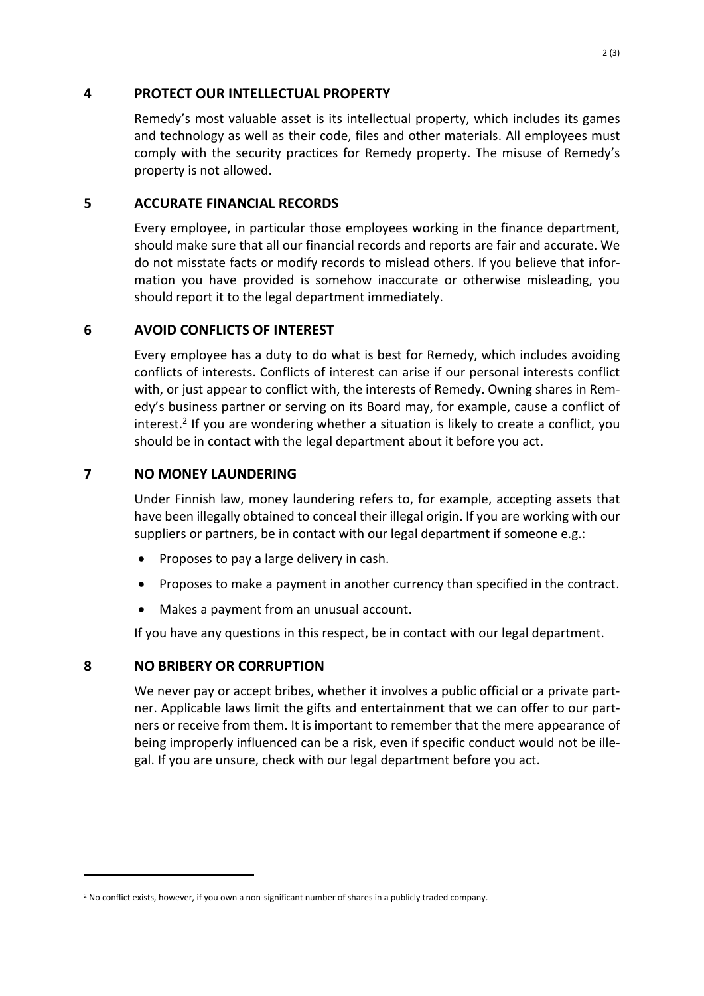#### **4 PROTECT OUR INTELLECTUAL PROPERTY**

Remedy's most valuable asset is its intellectual property, which includes its games and technology as well as their code, files and other materials. All employees must comply with the security practices for Remedy property. The misuse of Remedy's property is not allowed.

# **5 ACCURATE FINANCIAL RECORDS**

Every employee, in particular those employees working in the finance department, should make sure that all our financial records and reports are fair and accurate. We do not misstate facts or modify records to mislead others. If you believe that information you have provided is somehow inaccurate or otherwise misleading, you should report it to the legal department immediately.

# **6 AVOID CONFLICTS OF INTEREST**

Every employee has a duty to do what is best for Remedy, which includes avoiding conflicts of interests. Conflicts of interest can arise if our personal interests conflict with, or just appear to conflict with, the interests of Remedy. Owning shares in Remedy's business partner or serving on its Board may, for example, cause a conflict of interest.<sup>2</sup> If you are wondering whether a situation is likely to create a conflict, you should be in contact with the legal department about it before you act.

### **7 NO MONEY LAUNDERING**

Under Finnish law, money laundering refers to, for example, accepting assets that have been illegally obtained to conceal their illegal origin. If you are working with our suppliers or partners, be in contact with our legal department if someone e.g.:

- Proposes to pay a large delivery in cash.
- Proposes to make a payment in another currency than specified in the contract.
- Makes a payment from an unusual account.

If you have any questions in this respect, be in contact with our legal department.

### **8 NO BRIBERY OR CORRUPTION**

We never pay or accept bribes, whether it involves a public official or a private partner. Applicable laws limit the gifts and entertainment that we can offer to our partners or receive from them. It is important to remember that the mere appearance of being improperly influenced can be a risk, even if specific conduct would not be illegal. If you are unsure, check with our legal department before you act.

<sup>&</sup>lt;sup>2</sup> No conflict exists, however, if you own a non-significant number of shares in a publicly traded company.